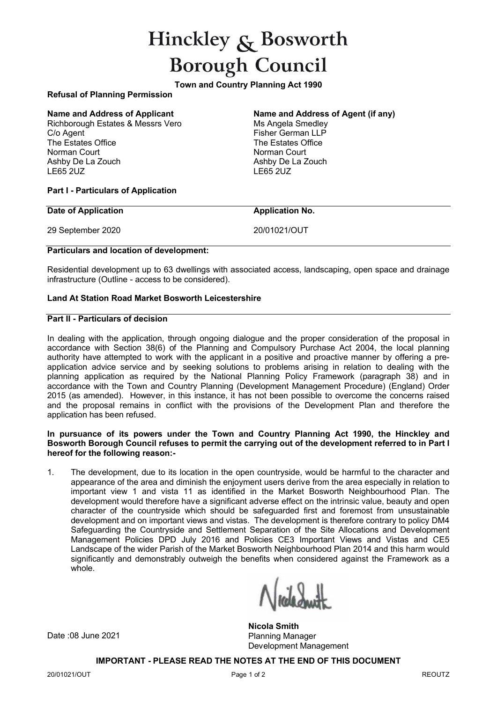# Hinckley  $\mathcal{R}$  Bosworth **Borough Council**

**Town and Country Planning Act 1990**

# **Refusal of Planning Permission**

Richborough Estates & Messrs Vero C/o Agent The Estates Office Norman Court Ashby De La Zouch LE65 2UZ

# **Name and Address of Applicant Name and Address of Agent (if any)**

Ms Angela Smedlev Fisher German LLP The Estates Office Norman Court Ashby De La Zouch LE65 2UZ

#### **Part I - Particulars of Application**

#### **Date of Application Application Application Application No.**

29 September 2020 20/01021/OUT

# **Particulars and location of development:**

Residential development up to 63 dwellings with associated access, landscaping, open space and drainage infrastructure (Outline - access to be considered).

## **Land At Station Road Market Bosworth Leicestershire**

#### **Part II - Particulars of decision**

In dealing with the application, through ongoing dialogue and the proper consideration of the proposal in accordance with Section 38(6) of the Planning and Compulsory Purchase Act 2004, the local planning authority have attempted to work with the applicant in a positive and proactive manner by offering a preapplication advice service and by seeking solutions to problems arising in relation to dealing with the planning application as required by the National Planning Policy Framework (paragraph 38) and in accordance with the Town and Country Planning (Development Management Procedure) (England) Order 2015 (as amended). However, in this instance, it has not been possible to overcome the concerns raised and the proposal remains in conflict with the provisions of the Development Plan and therefore the application has been refused.

#### **In pursuance of its powers under the Town and Country Planning Act 1990, the Hinckley and Bosworth Borough Council refuses to permit the carrying out of the development referred to in Part I hereof for the following reason:-**

1. The development, due to its location in the open countryside, would be harmful to the character and appearance of the area and diminish the enjoyment users derive from the area especially in relation to important view 1 and vista 11 as identified in the Market Bosworth Neighbourhood Plan. The development would therefore have a significant adverse effect on the intrinsic value, beauty and open character of the countryside which should be safeguarded first and foremost from unsustainable development and on important views and vistas. The development is therefore contrary to policy DM4 Safeguarding the Countryside and Settlement Separation of the Site Allocations and Development Management Policies DPD July 2016 and Policies CE3 Important Views and Vistas and CE5 Landscape of the wider Parish of the Market Bosworth Neighbourhood Plan 2014 and this harm would significantly and demonstrably outweigh the benefits when considered against the Framework as a whole.

**Nicola Smith** Planning Manager Development Management

**IMPORTANT - PLEASE READ THE NOTES AT THE END OF THIS DOCUMENT**

Date :08 June 2021